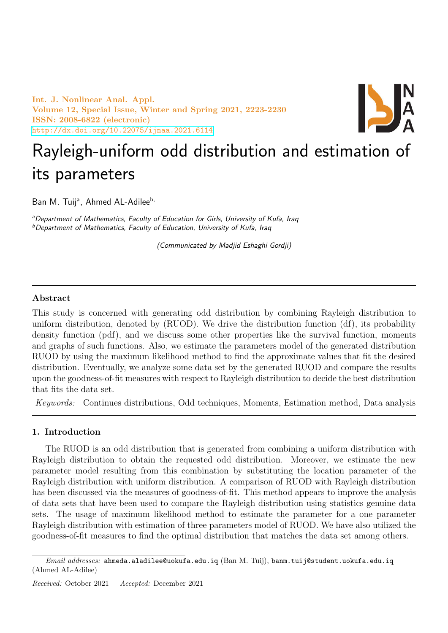Int. J. Nonlinear Anal. Appl. Volume 12, Special Issue, Winter and Spring 2021, 2223-2230 ISSN: 2008-6822 (electronic) <http://dx.doi.org/10.22075/ijnaa.2021.6114>



# Rayleigh-uniform odd distribution and estimation of its parameters

Ban M. Tuij<sup>a</sup>, Ahmed AL-Adilee<sup>b,</sup>

<sup>a</sup> Department of Mathematics, Faculty of Education for Girls, University of Kufa, Iraq <sup>b</sup>Department of Mathematics, Faculty of Education, University of Kufa, Iraq

(Communicated by Madjid Eshaghi Gordji)

## Abstract

This study is concerned with generating odd distribution by combining Rayleigh distribution to uniform distribution, denoted by (RUOD). We drive the distribution function (df), its probability density function (pdf), and we discuss some other properties like the survival function, moments and graphs of such functions. Also, we estimate the parameters model of the generated distribution RUOD by using the maximum likelihood method to find the approximate values that fit the desired distribution. Eventually, we analyze some data set by the generated RUOD and compare the results upon the goodness-of-fit measures with respect to Rayleigh distribution to decide the best distribution that fits the data set.

Keywords: Continues distributions, Odd techniques, Moments, Estimation method, Data analysis

# 1. Introduction

The RUOD is an odd distribution that is generated from combining a uniform distribution with Rayleigh distribution to obtain the requested odd distribution. Moreover, we estimate the new parameter model resulting from this combination by substituting the location parameter of the Rayleigh distribution with uniform distribution. A comparison of RUOD with Rayleigh distribution has been discussed via the measures of goodness-of-fit. This method appears to improve the analysis of data sets that have been used to compare the Rayleigh distribution using statistics genuine data sets. The usage of maximum likelihood method to estimate the parameter for a one parameter Rayleigh distribution with estimation of three parameters model of RUOD. We have also utilized the goodness-of-fit measures to find the optimal distribution that matches the data set among others.

 $Email \ addresses:$  ahmeda.aladilee@uokufa.edu.iq (Ban M. Tuij), banm.tuij@student.uokufa.edu.iq (Ahmed AL-Adilee)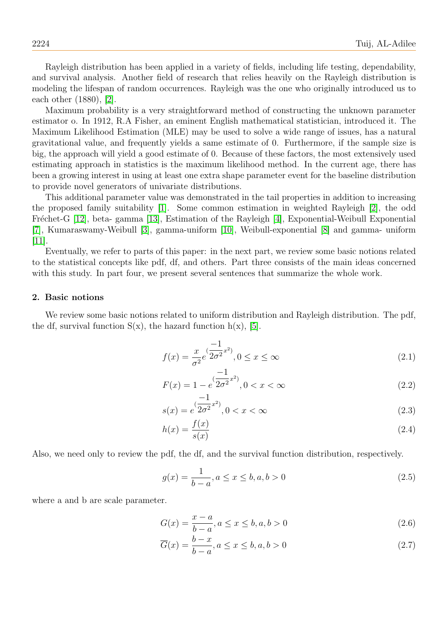Rayleigh distribution has been applied in a variety of fields, including life testing, dependability, and survival analysis. Another field of research that relies heavily on the Rayleigh distribution is modeling the lifespan of random occurrences. Rayleigh was the one who originally introduced us to each other (1880), [\[2\]](#page-6-0).

Maximum probability is a very straightforward method of constructing the unknown parameter estimator o. In 1912, R.A Fisher, an eminent English mathematical statistician, introduced it. The Maximum Likelihood Estimation (MLE) may be used to solve a wide range of issues, has a natural gravitational value, and frequently yields a same estimate of 0. Furthermore, if the sample size is big, the approach will yield a good estimate of 0. Because of these factors, the most extensively used estimating approach in statistics is the maximum likelihood method. In the current age, there has been a growing interest in using at least one extra shape parameter event for the baseline distribution to provide novel generators of univariate distributions.

This additional parameter value was demonstrated in the tail properties in addition to increasing the proposed family suitability [\[1\]](#page-6-1). Some common estimation in weighted Rayleigh [\[2\]](#page-6-0), the odd Fréchet-G [\[12\]](#page-7-0), beta- gamma [\[13\]](#page-7-1), Estimation of the Rayleigh [\[4\]](#page-6-2), Exponential-Weibull Exponential [\[7\]](#page-6-3), Kumaraswamy-Weibull [\[3\]](#page-6-4), gamma-uniform [\[10\]](#page-7-2), Weibull-exponential [\[8\]](#page-6-5) and gamma- uniform [\[11\]](#page-7-3).

Eventually, we refer to parts of this paper: in the next part, we review some basic notions related to the statistical concepts like pdf, df, and others. Part three consists of the main ideas concerned with this study. In part four, we present several sentences that summarize the whole work.

#### 2. Basic notions

We review some basic notions related to uniform distribution and Rayleigh distribution. The pdf, the df, survival function  $S(x)$ , the hazard function  $h(x)$ , [\[5\]](#page-6-6).

$$
f(x) = \frac{x}{\sigma^2} e^{(\frac{-1}{2\sigma^2}x^2)}, 0 \le x \le \infty
$$
\n(2.1)

$$
F(x) = 1 - e^{(\frac{-1}{2\sigma^2}x^2)}, 0 < x < \infty \tag{2.2}
$$

$$
s(x) = e^{(\frac{-1}{2\sigma^2}x^2)}, 0 < x < \infty \tag{2.3}
$$

$$
h(x) = \frac{f(x)}{s(x)}\tag{2.4}
$$

Also, we need only to review the pdf, the df, and the survival function distribution, respectively.

$$
g(x) = \frac{1}{b-a}, a \le x \le b, a, b > 0
$$
\n(2.5)

where a and b are scale parameter.

$$
G(x) = \frac{x - a}{b - a}, a \le x \le b, a, b > 0
$$
\n(2.6)

$$
\overline{G}(x) = \frac{b-x}{b-a}, a \le x \le b, a, b > 0
$$
\n(2.7)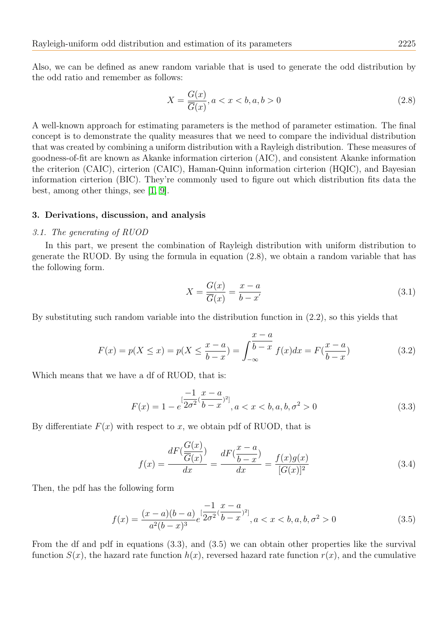Also, we can be defined as anew random variable that is used to generate the odd distribution by the odd ratio and remember as follows:

$$
X = \frac{G(x)}{\overline{G}(x)}, a < x < b, a, b > 0 \tag{2.8}
$$

A well-known approach for estimating parameters is the method of parameter estimation. The final concept is to demonstrate the quality measures that we need to compare the individual distribution that was created by combining a uniform distribution with a Rayleigh distribution. These measures of goodness-of-fit are known as Akanke information cirterion (AIC), and consistent Akanke information the criterion (CAIC), cirterion (CAIC), Haman-Quinn information cirterion (HQIC), and Bayesian information cirterion (BIC). They're commonly used to figure out which distribution fits data the best, among other things, see [\[1,](#page-6-1) [9\]](#page-6-7).

#### 3. Derivations, discussion, and analysis

#### 3.1. The generating of RUOD

In this part, we present the combination of Rayleigh distribution with uniform distribution to generate the RUOD. By using the formula in equation (2.8), we obtain a random variable that has the following form.

$$
X = \frac{G(x)}{\overline{G}(x)} = \frac{x - a}{b - x'}
$$
\n(3.1)

By substituting such random variable into the distribution function in (2.2), so this yields that

$$
F(x) = p(X \le x) = p(X \le \frac{x-a}{b-x}) = \int_{-\infty}^{\infty} \frac{x-a}{b-x} f(x) dx = F(\frac{x-a}{b-x})
$$
\n(3.2)

Which means that we have a df of RUOD, that is:

$$
F(x) = 1 - e^{\left[\frac{-1}{2\sigma^2}(\frac{x-a}{b-x})^2\right]}, a < x < b, a, b, \sigma^2 > 0 \tag{3.3}
$$

By differentiate  $F(x)$  with respect to x, we obtain pdf of RUOD, that is

$$
f(x) = \frac{dF(\frac{G(x)}{\overline{G}(x)})}{dx} = \frac{dF(\frac{x-a}{b-x})}{dx} = \frac{f(x)g(x)}{[G(x)]^2}
$$
(3.4)

Then, the pdf has the following form

$$
f(x) = \frac{(x-a)(b-a)}{a^2(b-x)^3} e^{\frac{-1}{2\sigma^2}(\frac{x-a}{b-x})^2}, a < x < b, a, b, \sigma^2 > 0
$$
 (3.5)

From the df and pdf in equations (3.3), and (3.5) we can obtain other properties like the survival function  $S(x)$ , the hazard rate function  $h(x)$ , reversed hazard rate function  $r(x)$ , and the cumulative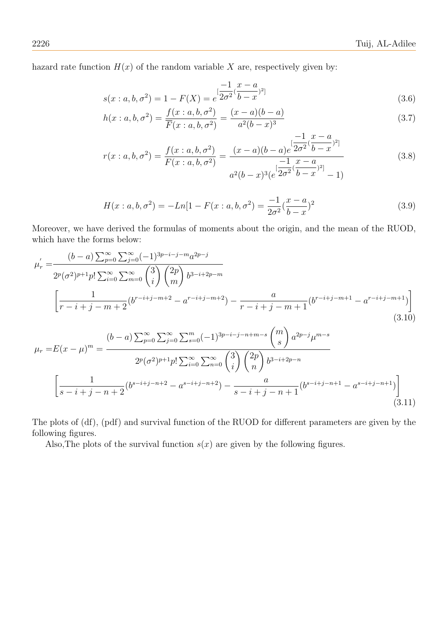hazard rate function  $H(x)$  of the random variable X are, respectively given by:

$$
s(x : a, b, \sigma^2) = 1 - F(X) = e^{\left[\frac{-1}{2\sigma^2}(\frac{x - a}{b - x})^2\right]}
$$
\n(3.6)

$$
h(x : a, b, \sigma^2) = \frac{f(x : a, b, \sigma^2)}{\overline{F}(x : a, b, \sigma^2)} = \frac{(x - a)(b - a)}{a^2(b - x)^3}
$$
(3.7)

$$
r(x : a, b, \sigma^2) = \frac{f(x : a, b, \sigma^2)}{F(x : a, b, \sigma^2)} = \frac{(x - a)(b - a)e^{\left[\frac{-1}{2\sigma^2}(\frac{x - a}{b - x})^2\right]}}{a^2(b - x)^3(e^{\left[\frac{-1}{2\sigma^2}(\frac{x - a}{b - x})^2\right]} - 1)}
$$
(3.8)

$$
H(x: a, b, \sigma^2) = -Ln[1 - F(x: a, b, \sigma^2)] = \frac{-1}{2\sigma^2} (\frac{x - a}{b - x})^2
$$
\n(3.9)

Moreover, we have derived the formulas of moments about the origin, and the mean of the RUOD, which have the forms below:

$$
\mu'_{r} = \frac{(b-a)\sum_{p=0}^{\infty}\sum_{j=0}^{\infty}(-1)^{3p-i-j-m}a^{2p-j}}{2^{p}(\sigma^{2})^{p+1}p!\sum_{i=0}^{\infty}\sum_{m=0}^{\infty}\binom{3}{i}\binom{2p}{m}b^{3-i+2p-m}}{\binom{1}{r-i+j-m+2}(b^{r-i+j-m+2})-a^{r-i+j-m+1}} - \frac{a}{r-i+j-m+1}(b^{r-i+j-m+1}-a^{r-i+j-m+1})\n\tag{3.10}
$$
\n
$$
\mu_{r} = E(x-\mu)^{m} = \frac{(b-a)\sum_{p=0}^{\infty}\sum_{j=0}^{\infty}\sum_{s=0}^{m}(-1)^{3p-i-j-n+m-s}\binom{m}{s}a^{2p-j}\mu^{m-s}}{2^{p}(\sigma^{2})^{p+1}p!\sum_{i=0}^{\infty}\sum_{m=0}^{\infty}\binom{3}{i}\binom{2p}{n}b^{3-i+2p-n}}{\binom{1}{s-i+j-m+2}(b^{s-i+j-n+2})-a^{s-i+j-n+1}}\n\tag{3.11}
$$

The plots of (df), (pdf) and survival function of the RUOD for different parameters are given by the following figures.

Also, The plots of the survival function  $s(x)$  are given by the following figures.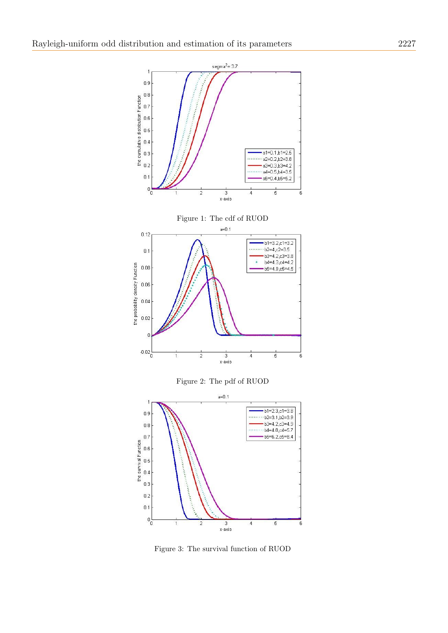

Figure 3: The survival function of RUOD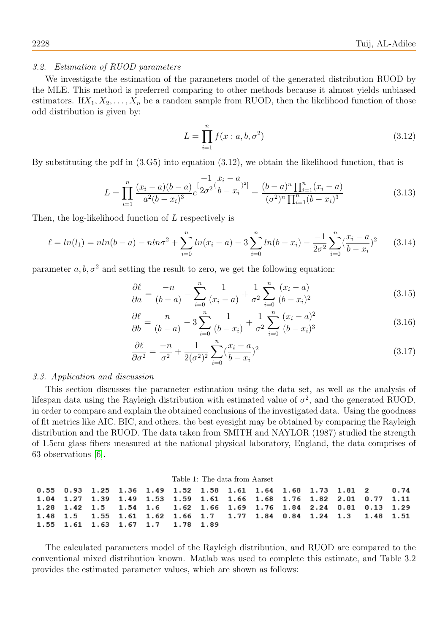# 3.2. Estimation of RUOD parameters

We investigate the estimation of the parameters model of the generated distribution RUOD by the MLE. This method is preferred comparing to other methods because it almost yields unbiased estimators. If  $X_1, X_2, \ldots, X_n$  be a random sample from RUOD, then the likelihood function of those odd distribution is given by:

$$
L = \prod_{i=1}^{n} f(x : a, b, \sigma^2)
$$
 (3.12)

By substituting the pdf in (3.G5) into equation (3.12), we obtain the likelihood function, that is

$$
L = \prod_{i=1}^{n} \frac{(x_i - a)(b - a)}{a^2(b - x_i)^3} e^{\left[\frac{-1}{2\sigma^2} (\frac{x_i - a}{b - x_i})^2\right]} = \frac{(b - a)^n \prod_{i=1}^n (x_i - a)}{(\sigma^2)^n \prod_{i=1}^n (b - x_i)^3}
$$
(3.13)

Then, the log-likelihood function of L respectively is

$$
\ell = \ln(l_1) = \frac{1}{n} \ln(b - a) - \frac{1}{n} \ln\left(\frac{x_i - a}{1 - a}\right) - \frac{1}{n} \sum_{i=0}^{n} \ln(b - x_i) - \frac{1}{2\sigma^2} \sum_{i=0}^{n} \left(\frac{x_i - a}{b - x_i}\right)^2 \tag{3.14}
$$

parameter a,  $b, \sigma^2$  and setting the result to zero, we get the following equation:

$$
\frac{\partial \ell}{\partial a} = \frac{-n}{(b-a)} - \sum_{i=0}^{n} \frac{1}{(x_i - a)} + \frac{1}{\sigma^2} \sum_{i=0}^{n} \frac{(x_i - a)}{(b - x_i)^2}
$$
(3.15)

$$
\frac{\partial \ell}{\partial b} = \frac{n}{(b-a)} - 3 \sum_{i=0}^{n} \frac{1}{(b-x_i)} + \frac{1}{\sigma^2} \sum_{i=0}^{n} \frac{(x_i - a)^2}{(b-x_i)^3}
$$
(3.16)

$$
\frac{\partial \ell}{\partial \sigma^2} = \frac{-n}{\sigma^2} + \frac{1}{2(\sigma^2)^2} \sum_{i=0}^n \left(\frac{x_i - a}{b - x_i}\right)^2 \tag{3.17}
$$

#### 3.3. Application and discussion

This section discusses the parameter estimation using the data set, as well as the analysis of lifespan data using the Rayleigh distribution with estimated value of  $\sigma^2$ , and the generated RUOD, in order to compare and explain the obtained conclusions of the investigated data. Using the goodness of fit metrics like AIC, BIC, and others, the best eyesight may be obtained by comparing the Rayleigh distribution and the RUOD. The data taken from SMITH and NAYLOR (1987) studied the strength of 1.5cm glass fibers measured at the national physical laboratory, England, the data comprises of 63 observations [\[6\]](#page-6-8).

| Table 1: The data from Aarset |  |  |  |                                                                                              |  |  |  |  |  |  |  |  |  |
|-------------------------------|--|--|--|----------------------------------------------------------------------------------------------|--|--|--|--|--|--|--|--|--|
|                               |  |  |  | $0.55$ $0.93$ $1.25$ $1.36$ $1.49$ $1.52$ $1.58$ $1.61$ $1.64$ $1.68$ $1.73$ $1.81$ 2 $0.74$ |  |  |  |  |  |  |  |  |  |
|                               |  |  |  | 1.04 1.27 1.39 1.49 1.53 1.59 1.61 1.66 1.68 1.76 1.82 2.01 0.77 1.11                        |  |  |  |  |  |  |  |  |  |
|                               |  |  |  | 1.28 1.42 1.5 1.54 1.6 1.62 1.66 1.69 1.76 1.84 2.24 0.81 0.13 1.29                          |  |  |  |  |  |  |  |  |  |
|                               |  |  |  | 1.48 1.5 1.55 1.61 1.62 1.66 1.7 1.77 1.84 0.84 1.24 1.3 1.48 1.51                           |  |  |  |  |  |  |  |  |  |
|                               |  |  |  | 1.55 1.61 1.63 1.67 1.7 1.78 1.89                                                            |  |  |  |  |  |  |  |  |  |

The calculated parameters model of the Rayleigh distribution, and RUOD are compared to the conventional mixed distribution known. Matlab was used to complete this estimate, and Table 3.2 provides the estimated parameter values, which are shown as follows: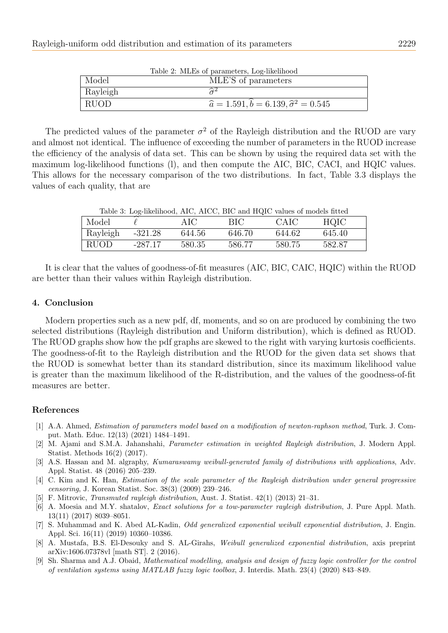| Table 2. MLES OF parameters, Log-intentition |                                                            |  |  |  |  |  |
|----------------------------------------------|------------------------------------------------------------|--|--|--|--|--|
| Model                                        | MLE'S of parameters                                        |  |  |  |  |  |
| Rayleigh                                     |                                                            |  |  |  |  |  |
| <b>RUOD</b>                                  | $\hat{a} = 1.591, \hat{b} = 6.139, \hat{\sigma}^2 = 0.545$ |  |  |  |  |  |
|                                              |                                                            |  |  |  |  |  |

Table 2: MLEs of parameters, Log-likelihood

The predicted values of the parameter  $\sigma^2$  of the Rayleigh distribution and the RUOD are vary and almost not identical. The influence of exceeding the number of parameters in the RUOD increase the efficiency of the analysis of data set. This can be shown by using the required data set with the maximum log-likelihood functions (l), and then compute the AIC, BIC, CACI, and HQIC values. This allows for the necessary comparison of the two distributions. In fact, Table 3.3 displays the values of each quality, that are

|          |         |        |         | Table 3: Log-likelihood, AIC, AICC, BIC and HQIC values of models fitted |        |  |
|----------|---------|--------|---------|--------------------------------------------------------------------------|--------|--|
| Model    |         | AIC    | - BIC - | - CAIC                                                                   | HQIC   |  |
| Rayleigh | -321.28 | 644.56 | 646.70  | 644.62                                                                   | 645.40 |  |

RUOD -287.17 580.35 586.77 580.75 582.87

It is clear that the values of goodness-of-fit measures (AIC, BIC, CAIC, HQIC) within the RUOD are better than their values within Rayleigh distribution.

# 4. Conclusion

Modern properties such as a new pdf, df, moments, and so on are produced by combining the two selected distributions (Rayleigh distribution and Uniform distribution), which is defined as RUOD. The RUOD graphs show how the pdf graphs are skewed to the right with varying kurtosis coefficients. The goodness-of-fit to the Rayleigh distribution and the RUOD for the given data set shows that the RUOD is somewhat better than its standard distribution, since its maximum likelihood value is greater than the maximum likelihood of the R-distribution, and the values of the goodness-of-fit measures are better.

# References

- <span id="page-6-1"></span>[1] A.A. Ahmed, Estimation of parameters model based on a modification of newton-raphson method, Turk. J. Comput. Math. Educ. 12(13) (2021) 1484–1491.
- <span id="page-6-0"></span>[2] M. Ajami and S.M.A. Jahanshahi, Parameter estimation in weighted Rayleigh distribution, J. Modern Appl. Statist. Methods 16(2) (2017).
- <span id="page-6-4"></span>[3] A.S. Hassan and M. algraphy, Kumaraswamy weibull-generated family of distributions with applications, Adv. Appl. Statist. 48 (2016) 205–239.
- <span id="page-6-2"></span>[4] C. Kim and K. Han, Estimation of the scale parameter of the Rayleigh distribution under general progressive censoring, J. Korean Statist. Soc. 38(3) (2009) 239–246.
- <span id="page-6-6"></span>[5] F. Mitrovic, Transmuted rayleigh distribution, Aust. J. Statist. 42(1) (2013) 21–31.
- <span id="page-6-8"></span>[6] A. Moesia and M.Y. shatalov, Exact solutions for a tow-parameter rayleigh distribution, J. Pure Appl. Math. 13(11) (2017) 8039–8051.
- <span id="page-6-3"></span>[7] S. Muhammad and K. Abed AL-Kadin, Odd generalized exponential weibull exponential distribution, J. Engin. Appl. Sci. 16(11) (2019) 10360–10386.
- <span id="page-6-5"></span>[8] A. Mustafa, B.S. El-Desouky and S. AL-Girahs, Weibull generalized exponential distribution, axis preprint arXiv:1606.07378vl [math ST]. 2 (2016).
- <span id="page-6-7"></span>[9] Sh. Sharma and A.J. Obaid, Mathematical modelling, analysis and design of fuzzy logic controller for the control of ventilation systems using MATLAB fuzzy logic toolbox, J. Interdis. Math. 23(4) (2020) 843–849.